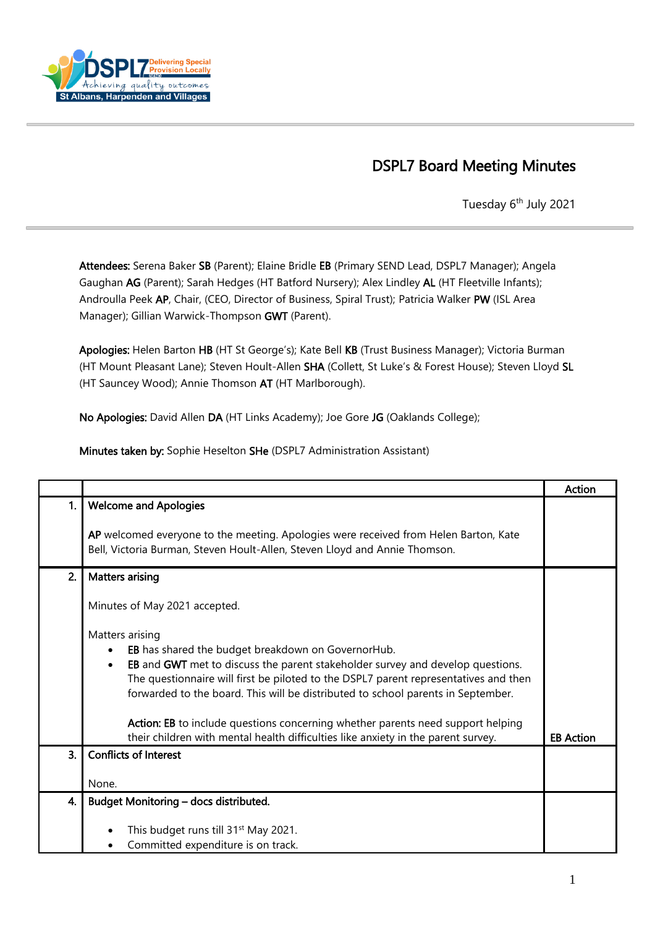

## DSPL7 Board Meeting Minutes

Tuesday 6<sup>th</sup> July 2021

Attendees: Serena Baker SB (Parent); Elaine Bridle EB (Primary SEND Lead, DSPL7 Manager); Angela Gaughan AG (Parent); Sarah Hedges (HT Batford Nursery); Alex Lindley AL (HT Fleetville Infants); Androulla Peek AP, Chair, (CEO, Director of Business, Spiral Trust); Patricia Walker PW (ISL Area Manager); Gillian Warwick-Thompson GWT (Parent).

Apologies: Helen Barton HB (HT St George's); Kate Bell KB (Trust Business Manager); Victoria Burman (HT Mount Pleasant Lane); Steven Hoult-Allen SHA (Collett, St Luke's & Forest House); Steven Lloyd SL (HT Sauncey Wood); Annie Thomson AT (HT Marlborough).

No Apologies: David Allen DA (HT Links Academy); Joe Gore JG (Oaklands College);

Minutes taken by: Sophie Heselton SHe (DSPL7 Administration Assistant)

|                  |                                                                                                                                                                                                                                                                                                                                                                                                                                                                                                                               | <b>Action</b>    |
|------------------|-------------------------------------------------------------------------------------------------------------------------------------------------------------------------------------------------------------------------------------------------------------------------------------------------------------------------------------------------------------------------------------------------------------------------------------------------------------------------------------------------------------------------------|------------------|
| 1.               | <b>Welcome and Apologies</b>                                                                                                                                                                                                                                                                                                                                                                                                                                                                                                  |                  |
|                  | AP welcomed everyone to the meeting. Apologies were received from Helen Barton, Kate<br>Bell, Victoria Burman, Steven Hoult-Allen, Steven Lloyd and Annie Thomson.                                                                                                                                                                                                                                                                                                                                                            |                  |
| 2.               | <b>Matters arising</b>                                                                                                                                                                                                                                                                                                                                                                                                                                                                                                        |                  |
|                  | Minutes of May 2021 accepted.                                                                                                                                                                                                                                                                                                                                                                                                                                                                                                 |                  |
|                  | Matters arising<br>EB has shared the budget breakdown on GovernorHub.<br>٠<br>EB and GWT met to discuss the parent stakeholder survey and develop questions.<br>$\bullet$<br>The questionnaire will first be piloted to the DSPL7 parent representatives and then<br>forwarded to the board. This will be distributed to school parents in September.<br>Action: EB to include questions concerning whether parents need support helping<br>their children with mental health difficulties like anxiety in the parent survey. | <b>EB Action</b> |
| $\overline{3}$ . | <b>Conflicts of Interest</b>                                                                                                                                                                                                                                                                                                                                                                                                                                                                                                  |                  |
|                  | None.                                                                                                                                                                                                                                                                                                                                                                                                                                                                                                                         |                  |
| 4.               | Budget Monitoring - docs distributed.                                                                                                                                                                                                                                                                                                                                                                                                                                                                                         |                  |
|                  | This budget runs till 31 <sup>st</sup> May 2021.<br>Committed expenditure is on track.                                                                                                                                                                                                                                                                                                                                                                                                                                        |                  |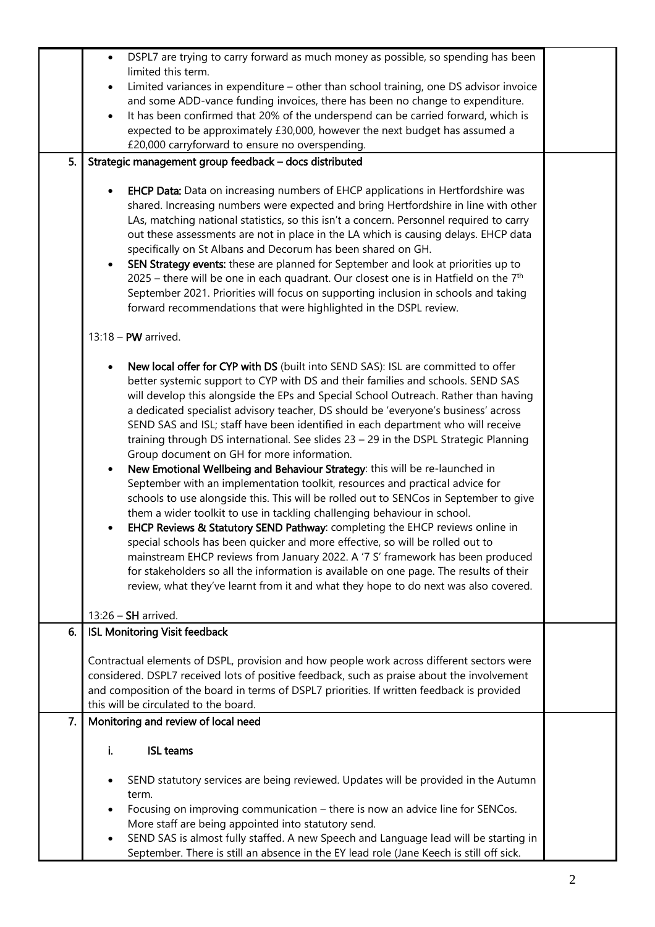|    | DSPL7 are trying to carry forward as much money as possible, so spending has been<br>$\bullet$                                                                                                                                                                                                                                                                                                                                                                                                                                                                                                                                                                                                                                                                                                                                                                                                                                                                                                                                                                                                                                                                                                                                                                                                                                                                   |  |
|----|------------------------------------------------------------------------------------------------------------------------------------------------------------------------------------------------------------------------------------------------------------------------------------------------------------------------------------------------------------------------------------------------------------------------------------------------------------------------------------------------------------------------------------------------------------------------------------------------------------------------------------------------------------------------------------------------------------------------------------------------------------------------------------------------------------------------------------------------------------------------------------------------------------------------------------------------------------------------------------------------------------------------------------------------------------------------------------------------------------------------------------------------------------------------------------------------------------------------------------------------------------------------------------------------------------------------------------------------------------------|--|
|    | limited this term.                                                                                                                                                                                                                                                                                                                                                                                                                                                                                                                                                                                                                                                                                                                                                                                                                                                                                                                                                                                                                                                                                                                                                                                                                                                                                                                                               |  |
|    | Limited variances in expenditure - other than school training, one DS advisor invoice<br>$\bullet$                                                                                                                                                                                                                                                                                                                                                                                                                                                                                                                                                                                                                                                                                                                                                                                                                                                                                                                                                                                                                                                                                                                                                                                                                                                               |  |
|    | and some ADD-vance funding invoices, there has been no change to expenditure.                                                                                                                                                                                                                                                                                                                                                                                                                                                                                                                                                                                                                                                                                                                                                                                                                                                                                                                                                                                                                                                                                                                                                                                                                                                                                    |  |
|    | It has been confirmed that 20% of the underspend can be carried forward, which is<br>$\bullet$                                                                                                                                                                                                                                                                                                                                                                                                                                                                                                                                                                                                                                                                                                                                                                                                                                                                                                                                                                                                                                                                                                                                                                                                                                                                   |  |
|    | expected to be approximately £30,000, however the next budget has assumed a                                                                                                                                                                                                                                                                                                                                                                                                                                                                                                                                                                                                                                                                                                                                                                                                                                                                                                                                                                                                                                                                                                                                                                                                                                                                                      |  |
| 5. | £20,000 carryforward to ensure no overspending.<br>Strategic management group feedback - docs distributed                                                                                                                                                                                                                                                                                                                                                                                                                                                                                                                                                                                                                                                                                                                                                                                                                                                                                                                                                                                                                                                                                                                                                                                                                                                        |  |
|    |                                                                                                                                                                                                                                                                                                                                                                                                                                                                                                                                                                                                                                                                                                                                                                                                                                                                                                                                                                                                                                                                                                                                                                                                                                                                                                                                                                  |  |
|    | <b>EHCP Data:</b> Data on increasing numbers of EHCP applications in Hertfordshire was<br>shared. Increasing numbers were expected and bring Hertfordshire in line with other<br>LAs, matching national statistics, so this isn't a concern. Personnel required to carry<br>out these assessments are not in place in the LA which is causing delays. EHCP data<br>specifically on St Albans and Decorum has been shared on GH.<br>SEN Strategy events: these are planned for September and look at priorities up to<br>$\bullet$<br>2025 – there will be one in each quadrant. Our closest one is in Hatfield on the $7th$<br>September 2021. Priorities will focus on supporting inclusion in schools and taking<br>forward recommendations that were highlighted in the DSPL review.                                                                                                                                                                                                                                                                                                                                                                                                                                                                                                                                                                          |  |
|    | $13:18 - PW$ arrived.                                                                                                                                                                                                                                                                                                                                                                                                                                                                                                                                                                                                                                                                                                                                                                                                                                                                                                                                                                                                                                                                                                                                                                                                                                                                                                                                            |  |
|    | New local offer for CYP with DS (built into SEND SAS): ISL are committed to offer<br>better systemic support to CYP with DS and their families and schools. SEND SAS<br>will develop this alongside the EPs and Special School Outreach. Rather than having<br>a dedicated specialist advisory teacher, DS should be 'everyone's business' across<br>SEND SAS and ISL; staff have been identified in each department who will receive<br>training through DS international. See slides 23 - 29 in the DSPL Strategic Planning<br>Group document on GH for more information.<br>New Emotional Wellbeing and Behaviour Strategy: this will be re-launched in<br>$\bullet$<br>September with an implementation toolkit, resources and practical advice for<br>schools to use alongside this. This will be rolled out to SENCos in September to give<br>them a wider toolkit to use in tackling challenging behaviour in school.<br>EHCP Reviews & Statutory SEND Pathway: completing the EHCP reviews online in<br>special schools has been quicker and more effective, so will be rolled out to<br>mainstream EHCP reviews from January 2022. A '7 S' framework has been produced<br>for stakeholders so all the information is available on one page. The results of their<br>review, what they've learnt from it and what they hope to do next was also covered. |  |
|    | $13:26$ – SH arrived.                                                                                                                                                                                                                                                                                                                                                                                                                                                                                                                                                                                                                                                                                                                                                                                                                                                                                                                                                                                                                                                                                                                                                                                                                                                                                                                                            |  |
| 6. | <b>ISL Monitoring Visit feedback</b>                                                                                                                                                                                                                                                                                                                                                                                                                                                                                                                                                                                                                                                                                                                                                                                                                                                                                                                                                                                                                                                                                                                                                                                                                                                                                                                             |  |
|    | Contractual elements of DSPL, provision and how people work across different sectors were                                                                                                                                                                                                                                                                                                                                                                                                                                                                                                                                                                                                                                                                                                                                                                                                                                                                                                                                                                                                                                                                                                                                                                                                                                                                        |  |
|    | considered. DSPL7 received lots of positive feedback, such as praise about the involvement                                                                                                                                                                                                                                                                                                                                                                                                                                                                                                                                                                                                                                                                                                                                                                                                                                                                                                                                                                                                                                                                                                                                                                                                                                                                       |  |
|    | and composition of the board in terms of DSPL7 priorities. If written feedback is provided                                                                                                                                                                                                                                                                                                                                                                                                                                                                                                                                                                                                                                                                                                                                                                                                                                                                                                                                                                                                                                                                                                                                                                                                                                                                       |  |
|    | this will be circulated to the board.                                                                                                                                                                                                                                                                                                                                                                                                                                                                                                                                                                                                                                                                                                                                                                                                                                                                                                                                                                                                                                                                                                                                                                                                                                                                                                                            |  |
| 7. | Monitoring and review of local need                                                                                                                                                                                                                                                                                                                                                                                                                                                                                                                                                                                                                                                                                                                                                                                                                                                                                                                                                                                                                                                                                                                                                                                                                                                                                                                              |  |
|    |                                                                                                                                                                                                                                                                                                                                                                                                                                                                                                                                                                                                                                                                                                                                                                                                                                                                                                                                                                                                                                                                                                                                                                                                                                                                                                                                                                  |  |
|    | <b>ISL teams</b><br>Ĭ.                                                                                                                                                                                                                                                                                                                                                                                                                                                                                                                                                                                                                                                                                                                                                                                                                                                                                                                                                                                                                                                                                                                                                                                                                                                                                                                                           |  |
|    | SEND statutory services are being reviewed. Updates will be provided in the Autumn                                                                                                                                                                                                                                                                                                                                                                                                                                                                                                                                                                                                                                                                                                                                                                                                                                                                                                                                                                                                                                                                                                                                                                                                                                                                               |  |
|    | term.                                                                                                                                                                                                                                                                                                                                                                                                                                                                                                                                                                                                                                                                                                                                                                                                                                                                                                                                                                                                                                                                                                                                                                                                                                                                                                                                                            |  |
|    | Focusing on improving communication - there is now an advice line for SENCos.                                                                                                                                                                                                                                                                                                                                                                                                                                                                                                                                                                                                                                                                                                                                                                                                                                                                                                                                                                                                                                                                                                                                                                                                                                                                                    |  |
|    | More staff are being appointed into statutory send.                                                                                                                                                                                                                                                                                                                                                                                                                                                                                                                                                                                                                                                                                                                                                                                                                                                                                                                                                                                                                                                                                                                                                                                                                                                                                                              |  |
|    | SEND SAS is almost fully staffed. A new Speech and Language lead will be starting in                                                                                                                                                                                                                                                                                                                                                                                                                                                                                                                                                                                                                                                                                                                                                                                                                                                                                                                                                                                                                                                                                                                                                                                                                                                                             |  |
|    | September. There is still an absence in the EY lead role (Jane Keech is still off sick.                                                                                                                                                                                                                                                                                                                                                                                                                                                                                                                                                                                                                                                                                                                                                                                                                                                                                                                                                                                                                                                                                                                                                                                                                                                                          |  |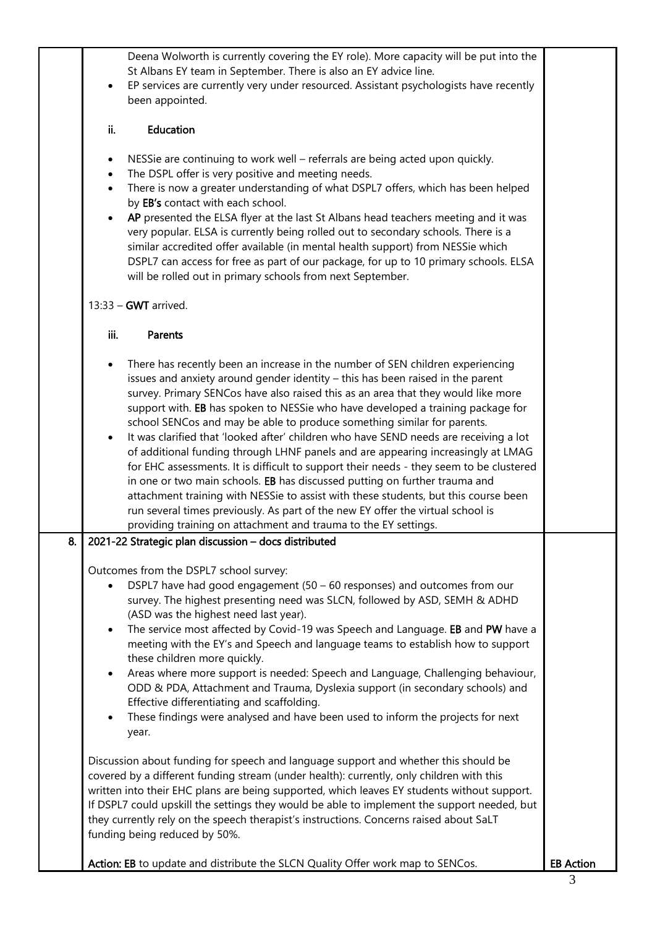|    | Deena Wolworth is currently covering the EY role). More capacity will be put into the<br>St Albans EY team in September. There is also an EY advice line.                                  |                  |
|----|--------------------------------------------------------------------------------------------------------------------------------------------------------------------------------------------|------------------|
|    | EP services are currently very under resourced. Assistant psychologists have recently<br>$\bullet$<br>been appointed.                                                                      |                  |
|    | Education<br>ii.                                                                                                                                                                           |                  |
|    | NESSie are continuing to work well - referrals are being acted upon quickly.<br>$\bullet$                                                                                                  |                  |
|    | The DSPL offer is very positive and meeting needs.<br>$\bullet$                                                                                                                            |                  |
|    | There is now a greater understanding of what DSPL7 offers, which has been helped<br>$\bullet$<br>by EB's contact with each school.                                                         |                  |
|    | AP presented the ELSA flyer at the last St Albans head teachers meeting and it was<br>very popular. ELSA is currently being rolled out to secondary schools. There is a                    |                  |
|    | similar accredited offer available (in mental health support) from NESSie which                                                                                                            |                  |
|    | DSPL7 can access for free as part of our package, for up to 10 primary schools. ELSA<br>will be rolled out in primary schools from next September.                                         |                  |
|    | $13:33 - GWT$ arrived.                                                                                                                                                                     |                  |
|    | iii.<br>Parents                                                                                                                                                                            |                  |
|    | There has recently been an increase in the number of SEN children experiencing                                                                                                             |                  |
|    | issues and anxiety around gender identity - this has been raised in the parent<br>survey. Primary SENCos have also raised this as an area that they would like more                        |                  |
|    | support with. EB has spoken to NESSie who have developed a training package for<br>school SENCos and may be able to produce something similar for parents.                                 |                  |
|    | It was clarified that 'looked after' children who have SEND needs are receiving a lot<br>of additional funding through LHNF panels and are appearing increasingly at LMAG                  |                  |
|    | for EHC assessments. It is difficult to support their needs - they seem to be clustered                                                                                                    |                  |
|    | in one or two main schools. EB has discussed putting on further trauma and<br>attachment training with NESSie to assist with these students, but this course been                          |                  |
|    | run several times previously. As part of the new EY offer the virtual school is<br>providing training on attachment and trauma to the EY settings.                                         |                  |
| 8. | 2021-22 Strategic plan discussion - docs distributed                                                                                                                                       |                  |
|    | Outcomes from the DSPL7 school survey:                                                                                                                                                     |                  |
|    | DSPL7 have had good engagement $(50 - 60$ responses) and outcomes from our<br>survey. The highest presenting need was SLCN, followed by ASD, SEMH & ADHD                                   |                  |
|    | (ASD was the highest need last year).<br>The service most affected by Covid-19 was Speech and Language. EB and PW have a<br>$\bullet$                                                      |                  |
|    | meeting with the EY's and Speech and language teams to establish how to support                                                                                                            |                  |
|    | these children more quickly.<br>Areas where more support is needed: Speech and Language, Challenging behaviour,                                                                            |                  |
|    | ODD & PDA, Attachment and Trauma, Dyslexia support (in secondary schools) and<br>Effective differentiating and scaffolding.                                                                |                  |
|    | These findings were analysed and have been used to inform the projects for next<br>year.                                                                                                   |                  |
|    |                                                                                                                                                                                            |                  |
|    | Discussion about funding for speech and language support and whether this should be<br>covered by a different funding stream (under health): currently, only children with this            |                  |
|    | written into their EHC plans are being supported, which leaves EY students without support.<br>If DSPL7 could upskill the settings they would be able to implement the support needed, but |                  |
|    | they currently rely on the speech therapist's instructions. Concerns raised about SaLT<br>funding being reduced by 50%.                                                                    |                  |
|    | Action: EB to update and distribute the SLCN Quality Offer work map to SENCos.                                                                                                             | <b>EB Action</b> |
|    |                                                                                                                                                                                            | 3                |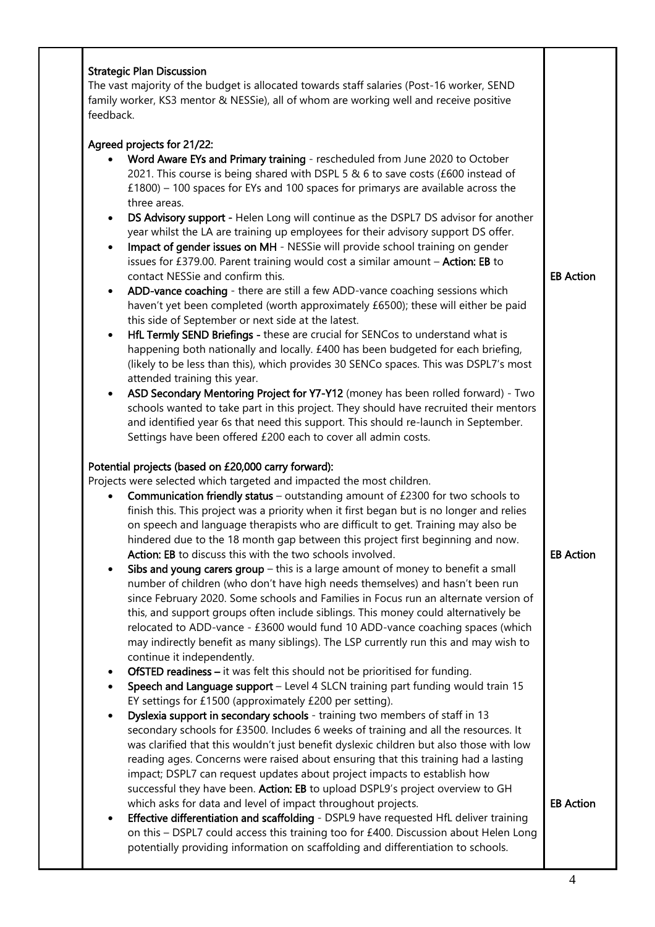| Agreed projects for 21/22:                                                                                                                                                              |                                      |
|-----------------------------------------------------------------------------------------------------------------------------------------------------------------------------------------|--------------------------------------|
| Word Aware EYs and Primary training - rescheduled from June 2020 to October<br>2021. This course is being shared with DSPL 5 & 6 to save costs (£600 instead of                         |                                      |
| £1800) - 100 spaces for EYs and 100 spaces for primarys are available across the<br>three areas.                                                                                        |                                      |
| DS Advisory support - Helen Long will continue as the DSPL7 DS advisor for another<br>$\bullet$                                                                                         |                                      |
| year whilst the LA are training up employees for their advisory support DS offer.<br>Impact of gender issues on MH - NESSie will provide school training on gender<br>$\bullet$         |                                      |
| issues for £379.00. Parent training would cost a similar amount - Action: EB to<br>contact NESSie and confirm this.                                                                     | <b>EB Action</b>                     |
| ADD-vance coaching - there are still a few ADD-vance coaching sessions which<br>$\bullet$                                                                                               |                                      |
| haven't yet been completed (worth approximately £6500); these will either be paid                                                                                                       |                                      |
| this side of September or next side at the latest.                                                                                                                                      |                                      |
| HfL Termly SEND Briefings - these are crucial for SENCos to understand what is<br>$\bullet$                                                                                             |                                      |
| happening both nationally and locally. £400 has been budgeted for each briefing,                                                                                                        |                                      |
| (likely to be less than this), which provides 30 SENCo spaces. This was DSPL7's most                                                                                                    |                                      |
| attended training this year.                                                                                                                                                            |                                      |
| ASD Secondary Mentoring Project for Y7-Y12 (money has been rolled forward) - Two<br>$\bullet$<br>schools wanted to take part in this project. They should have recruited their mentors  |                                      |
| and identified year 6s that need this support. This should re-launch in September.                                                                                                      |                                      |
| Settings have been offered £200 each to cover all admin costs.                                                                                                                          |                                      |
| Potential projects (based on £20,000 carry forward):<br>Projects were selected which targeted and impacted the most children.                                                           |                                      |
| Communication friendly status - outstanding amount of £2300 for two schools to<br>$\bullet$<br>finish this. This project was a priority when it first began but is no longer and relies |                                      |
| on speech and language therapists who are difficult to get. Training may also be                                                                                                        |                                      |
| hindered due to the 18 month gap between this project first beginning and now.                                                                                                          |                                      |
|                                                                                                                                                                                         |                                      |
| Action: EB to discuss this with the two schools involved.                                                                                                                               |                                      |
| Sibs and young carers group $-$ this is a large amount of money to benefit a small<br>$\bullet$                                                                                         |                                      |
| number of children (who don't have high needs themselves) and hasn't been run                                                                                                           |                                      |
| since February 2020. Some schools and Families in Focus run an alternate version of                                                                                                     |                                      |
| this, and support groups often include siblings. This money could alternatively be                                                                                                      |                                      |
| relocated to ADD-vance - £3600 would fund 10 ADD-vance coaching spaces (which                                                                                                           |                                      |
| may indirectly benefit as many siblings). The LSP currently run this and may wish to                                                                                                    |                                      |
| continue it independently.<br>٠                                                                                                                                                         |                                      |
| OfSTED readiness - it was felt this should not be prioritised for funding.<br>Speech and Language support - Level 4 SLCN training part funding would train 15                           |                                      |
| EY settings for £1500 (approximately £200 per setting).                                                                                                                                 |                                      |
| Dyslexia support in secondary schools - training two members of staff in 13<br>$\bullet$                                                                                                |                                      |
| secondary schools for £3500. Includes 6 weeks of training and all the resources. It                                                                                                     |                                      |
| was clarified that this wouldn't just benefit dyslexic children but also those with low                                                                                                 |                                      |
| reading ages. Concerns were raised about ensuring that this training had a lasting                                                                                                      |                                      |
| impact; DSPL7 can request updates about project impacts to establish how                                                                                                                |                                      |
| successful they have been. Action: EB to upload DSPL9's project overview to GH                                                                                                          | <b>EB Action</b><br><b>EB Action</b> |
| which asks for data and level of impact throughout projects.<br>Effective differentiation and scaffolding - DSPL9 have requested HfL deliver training<br>$\bullet$                      |                                      |
| on this - DSPL7 could access this training too for £400. Discussion about Helen Long                                                                                                    |                                      |